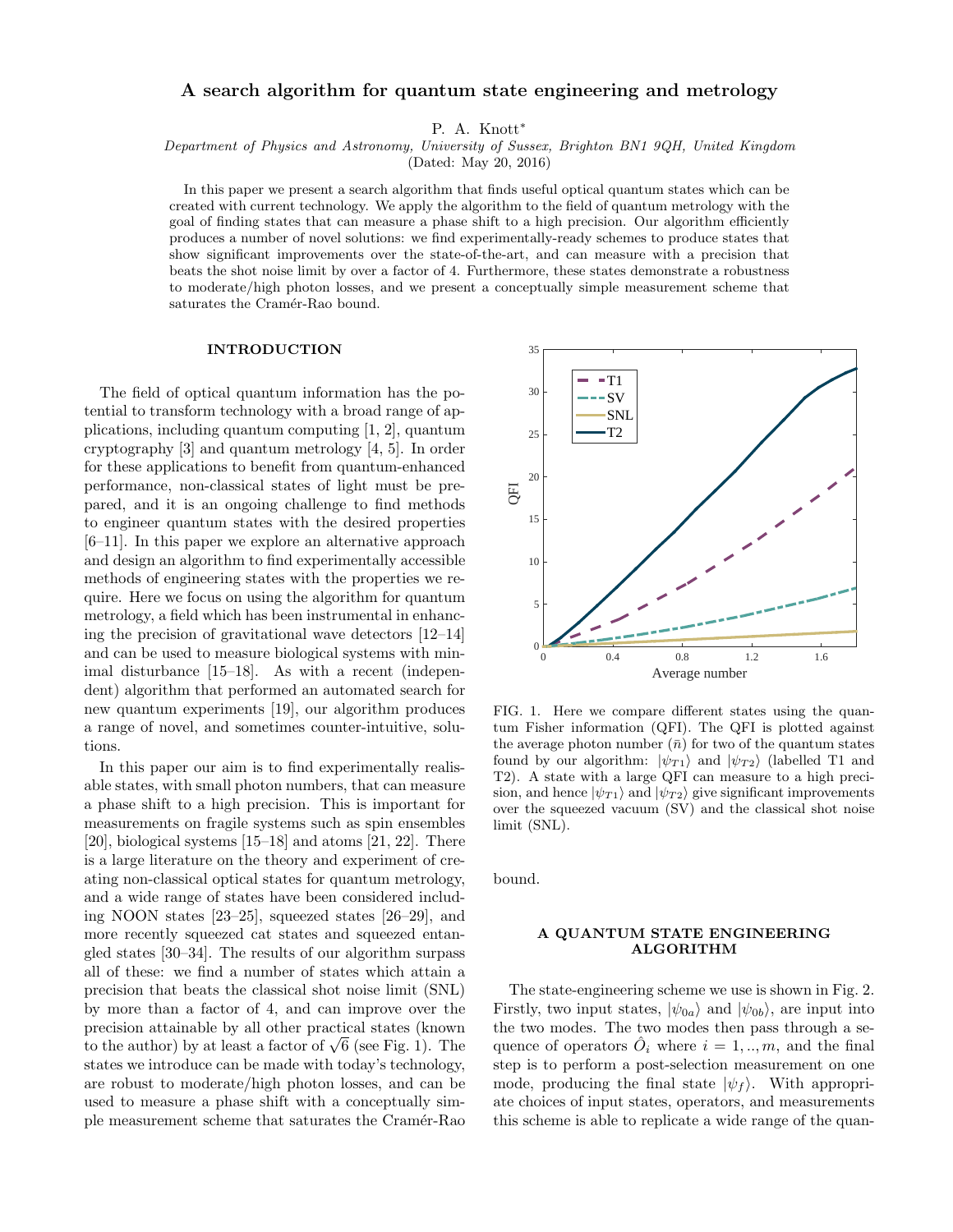# A search algorithm for quantum state engineering and metrology

P. A. Knott\*

Department of Physics and Astronomy, University of Sussex, Brighton BN1 9QH, United Kingdom

(Dated: May 20, 2016)

In this paper we present a search algorithm that finds useful optical quantum states which can be created with current technology. We apply the algorithm to the field of quantum metrology with the goal of finding states that can measure a phase shift to a high precision. Our algorithm efficiently produces a number of novel solutions: we find experimentally-ready schemes to produce states that show significant improvements over the state-of-the-art, and can measure with a precision that beats the shot noise limit by over a factor of 4. Furthermore, these states demonstrate a robustness to moderate/high photon losses, and we present a conceptually simple measurement scheme that saturates the Cramér-Rao bound.

#### INTRODUCTION

The field of optical quantum information has the potential to transform technology with a broad range of applications, including quantum computing [1, 2], quantum cryptography [3] and quantum metrology [4, 5]. In order for these applications to benefit from quantum-enhanced performance, non-classical states of light must be prepared, and it is an ongoing challenge to find methods to engineer quantum states with the desired properties [6–11]. In this paper we explore an alternative approach and design an algorithm to find experimentally accessible methods of engineering states with the properties we require. Here we focus on using the algorithm for quantum metrology, a field which has been instrumental in enhancing the precision of gravitational wave detectors [12–14] and can be used to measure biological systems with minimal disturbance [15–18]. As with a recent (independent) algorithm that performed an automated search for new quantum experiments [19], our algorithm produces a range of novel, and sometimes counter-intuitive, solutions.

In this paper our aim is to find experimentally realisable states, with small photon numbers, that can measure a phase shift to a high precision. This is important for measurements on fragile systems such as spin ensembles [20], biological systems [15–18] and atoms [21, 22]. There is a large literature on the theory and experiment of creating non-classical optical states for quantum metrology, and a wide range of states have been considered including NOON states [23–25], squeezed states [26–29], and more recently squeezed cat states and squeezed entangled states [30–34]. The results of our algorithm surpass all of these: we find a number of states which attain a precision that beats the classical shot noise limit (SNL) by more than a factor of 4, and can improve over the precision attainable by all other practical states (known precision attainable by all other practical states (known<br>to the author) by at least a factor of  $\sqrt{6}$  (see Fig. 1). The states we introduce can be made with today's technology, are robust to moderate/high photon losses, and can be used to measure a phase shift with a conceptually simple measurement scheme that saturates the Cramér-Rao



FIG. 1. Here we compare different states using the quantum Fisher information (QFI). The QFI is plotted against the average photon number  $(\bar{n})$  for two of the quantum states found by our algorithm:  $|\psi_{T1}\rangle$  and  $|\psi_{T2}\rangle$  (labelled T1 and T2). A state with a large QFI can measure to a high precision, and hence  $|\psi_{T1}\rangle$  and  $|\psi_{T2}\rangle$  give significant improvements over the squeezed vacuum (SV) and the classical shot noise limit (SNL).

bound.

## A QUANTUM STATE ENGINEERING ALGORITHM

The state-engineering scheme we use is shown in Fig. 2. Firstly, two input states,  $|\psi_{0a}\rangle$  and  $|\psi_{0b}\rangle$ , are input into the two modes. The two modes then pass through a sequence of operators  $\hat{O}_i$  where  $i = 1, ..., m$ , and the final step is to perform a post-selection measurement on one mode, producing the final state  $|\psi_f\rangle$ . With appropriate choices of input states, operators, and measurements this scheme is able to replicate a wide range of the quan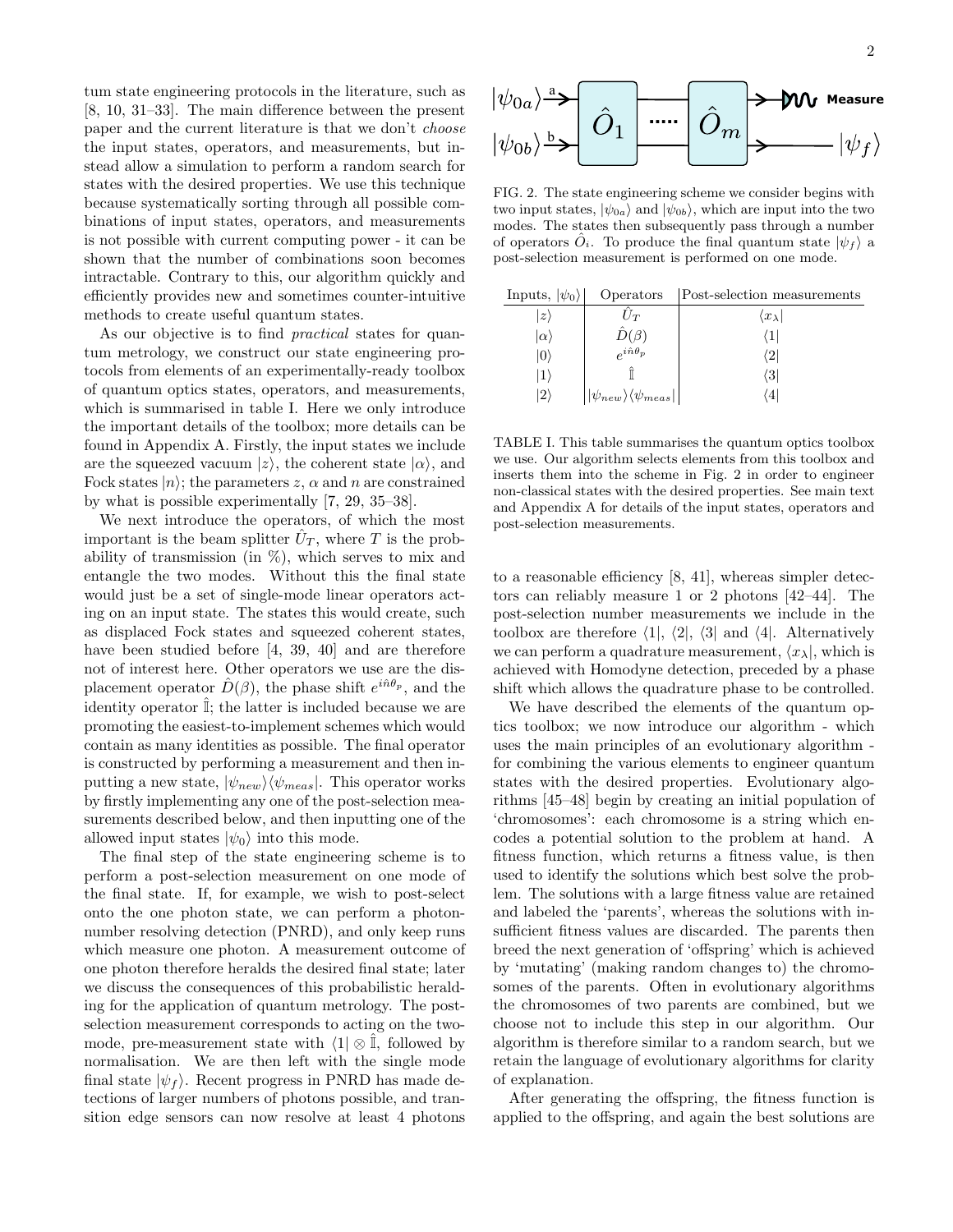tum state engineering protocols in the literature, such as [8, 10, 31–33]. The main difference between the present paper and the current literature is that we don't choose the input states, operators, and measurements, but instead allow a simulation to perform a random search for states with the desired properties. We use this technique because systematically sorting through all possible combinations of input states, operators, and measurements is not possible with current computing power - it can be shown that the number of combinations soon becomes intractable. Contrary to this, our algorithm quickly and efficiently provides new and sometimes counter-intuitive methods to create useful quantum states.

As our objective is to find practical states for quantum metrology, we construct our state engineering protocols from elements of an experimentally-ready toolbox of quantum optics states, operators, and measurements, which is summarised in table I. Here we only introduce the important details of the toolbox; more details can be found in Appendix A. Firstly, the input states we include are the squeezed vacuum  $|z\rangle$ , the coherent state  $|\alpha\rangle$ , and Fock states  $|n\rangle$ ; the parameters z,  $\alpha$  and n are constrained by what is possible experimentally [7, 29, 35–38].

We next introduce the operators, of which the most important is the beam splitter  $\hat{U}_T$ , where T is the probability of transmission (in  $\%$ ), which serves to mix and entangle the two modes. Without this the final state would just be a set of single-mode linear operators acting on an input state. The states this would create, such as displaced Fock states and squeezed coherent states, have been studied before [4, 39, 40] and are therefore not of interest here. Other operators we use are the displacement operator  $\hat{D}(\beta)$ , the phase shift  $e^{i\hat{n}\theta_p}$ , and the identity operator  $\mathbb{I}$ ; the latter is included because we are promoting the easiest-to-implement schemes which would contain as many identities as possible. The final operator is constructed by performing a measurement and then inputting a new state,  $|\psi_{new}\rangle\langle\psi_{meas}|$ . This operator works by firstly implementing any one of the post-selection measurements described below, and then inputting one of the allowed input states  $|\psi_0\rangle$  into this mode.

The final step of the state engineering scheme is to perform a post-selection measurement on one mode of the final state. If, for example, we wish to post-select onto the one photon state, we can perform a photonnumber resolving detection (PNRD), and only keep runs which measure one photon. A measurement outcome of one photon therefore heralds the desired final state; later we discuss the consequences of this probabilistic heralding for the application of quantum metrology. The postselection measurement corresponds to acting on the twomode, pre-measurement state with  $\langle 1| \otimes \hat{\mathbb{I}}$ , followed by normalisation. We are then left with the single mode final state  $|\psi_f\rangle$ . Recent progress in PNRD has made detections of larger numbers of photons possible, and transition edge sensors can now resolve at least 4 photons

FIG. 2. The state engineering scheme we consider begins with two input states,  $|\psi_{0a}\rangle$  and  $|\psi_{0b}\rangle$ , which are input into the two modes. The states then subsequently pass through a number of operators  $\hat{O}_i$ . To produce the final quantum state  $|\psi_f\rangle$  a post-selection measurement is performed on one mode.

| Inputs, $ \psi_0\rangle$ | Operators                                                        | Post-selection measurements |
|--------------------------|------------------------------------------------------------------|-----------------------------|
| $ z\rangle$              | $U_T$                                                            | $\langle x_{\lambda} $      |
| $ \alpha\rangle$         | $\hat{D}(\beta)$                                                 | $\left(1\right)$            |
| 10)                      | $e^{i\hat{n}\theta_p}$                                           | $\langle 2 $                |
| 1)                       |                                                                  | $\langle 3 $                |
| $ 2\rangle$              | $\vert \vert \psi_{new} \rangle \langle \psi_{meas} \vert \vert$ | $\left( 4 \right)$          |
|                          |                                                                  |                             |

TABLE I. This table summarises the quantum optics toolbox we use. Our algorithm selects elements from this toolbox and inserts them into the scheme in Fig. 2 in order to engineer non-classical states with the desired properties. See main text and Appendix A for details of the input states, operators and post-selection measurements.

to a reasonable efficiency [8, 41], whereas simpler detectors can reliably measure 1 or 2 photons [42–44]. The post-selection number measurements we include in the toolbox are therefore  $\langle 1|, \langle 2|, \langle 3| \rangle$  and  $\langle 4|$ . Alternatively we can perform a quadrature measurement,  $\langle x_{\lambda}|$ , which is achieved with Homodyne detection, preceded by a phase shift which allows the quadrature phase to be controlled.

We have described the elements of the quantum optics toolbox; we now introduce our algorithm - which uses the main principles of an evolutionary algorithm for combining the various elements to engineer quantum states with the desired properties. Evolutionary algorithms [45–48] begin by creating an initial population of 'chromosomes': each chromosome is a string which encodes a potential solution to the problem at hand. A fitness function, which returns a fitness value, is then used to identify the solutions which best solve the problem. The solutions with a large fitness value are retained and labeled the 'parents', whereas the solutions with insufficient fitness values are discarded. The parents then breed the next generation of 'offspring' which is achieved by 'mutating' (making random changes to) the chromosomes of the parents. Often in evolutionary algorithms the chromosomes of two parents are combined, but we choose not to include this step in our algorithm. Our algorithm is therefore similar to a random search, but we retain the language of evolutionary algorithms for clarity of explanation.

After generating the offspring, the fitness function is applied to the offspring, and again the best solutions are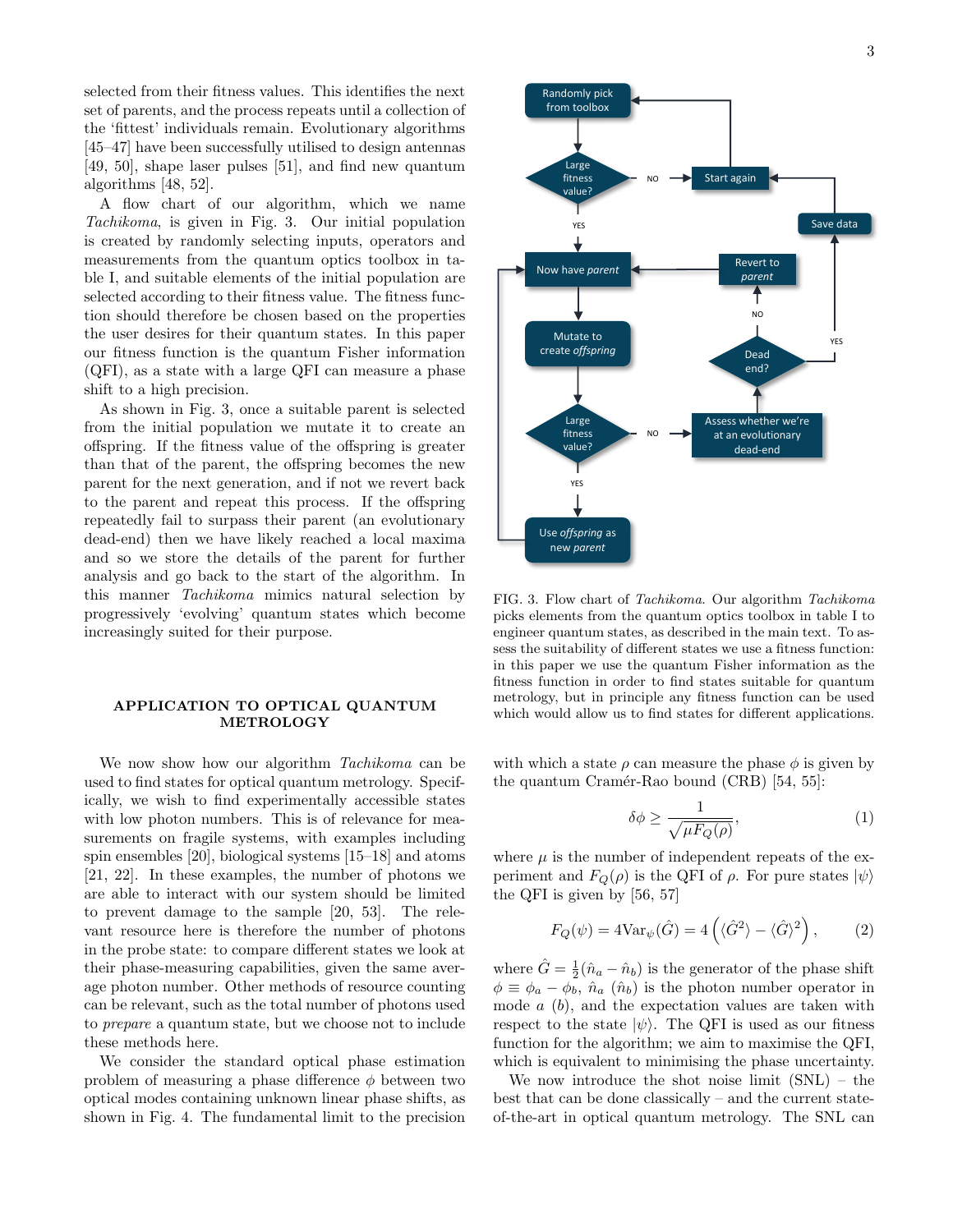selected from their fitness values. This identifies the next set of parents, and the process repeats until a collection of the 'fittest' individuals remain. Evolutionary algorithms [45–47] have been successfully utilised to design antennas [49, 50], shape laser pulses [51], and find new quantum algorithms [48, 52].

A flow chart of our algorithm, which we name Tachikoma, is given in Fig. 3. Our initial population is created by randomly selecting inputs, operators and measurements from the quantum optics toolbox in table I, and suitable elements of the initial population are selected according to their fitness value. The fitness function should therefore be chosen based on the properties the user desires for their quantum states. In this paper our fitness function is the quantum Fisher information (QFI), as a state with a large QFI can measure a phase shift to a high precision.

As shown in Fig. 3, once a suitable parent is selected from the initial population we mutate it to create an offspring. If the fitness value of the offspring is greater than that of the parent, the offspring becomes the new parent for the next generation, and if not we revert back to the parent and repeat this process. If the offspring repeatedly fail to surpass their parent (an evolutionary dead-end) then we have likely reached a local maxima and so we store the details of the parent for further analysis and go back to the start of the algorithm. In this manner Tachikoma mimics natural selection by progressively 'evolving' quantum states which become increasingly suited for their purpose.

### APPLICATION TO OPTICAL QUANTUM METROLOGY

We now show how our algorithm Tachikoma can be used to find states for optical quantum metrology. Specifically, we wish to find experimentally accessible states with low photon numbers. This is of relevance for measurements on fragile systems, with examples including spin ensembles [20], biological systems [15–18] and atoms [21, 22]. In these examples, the number of photons we are able to interact with our system should be limited to prevent damage to the sample [20, 53]. The relevant resource here is therefore the number of photons in the probe state: to compare different states we look at their phase-measuring capabilities, given the same average photon number. Other methods of resource counting can be relevant, such as the total number of photons used to prepare a quantum state, but we choose not to include these methods here.

We consider the standard optical phase estimation problem of measuring a phase difference  $\phi$  between two optical modes containing unknown linear phase shifts, as shown in Fig. 4. The fundamental limit to the precision



FIG. 3. Flow chart of Tachikoma. Our algorithm Tachikoma picks elements from the quantum optics toolbox in table I to engineer quantum states, as described in the main text. To assess the suitability of different states we use a fitness function: in this paper we use the quantum Fisher information as the fitness function in order to find states suitable for quantum metrology, but in principle any fitness function can be used which would allow us to find states for different applications.

with which a state  $\rho$  can measure the phase  $\phi$  is given by the quantum Cramér-Rao bound (CRB) [54, 55]:

$$
\delta\phi \ge \frac{1}{\sqrt{\mu F_Q(\rho)}},\tag{1}
$$

where  $\mu$  is the number of independent repeats of the experiment and  $F_Q(\rho)$  is the QFI of  $\rho$ . For pure states  $|\psi\rangle$ the QFI is given by [56, 57]

$$
F_Q(\psi) = 4\text{Var}_{\psi}(\hat{G}) = 4\left(\langle \hat{G}^2 \rangle - \langle \hat{G} \rangle^2\right),\tag{2}
$$

where  $\hat{G} = \frac{1}{2}(\hat{n}_a - \hat{n}_b)$  is the generator of the phase shift  $\phi \equiv \phi_a - \phi_b$ ,  $\hat{n}_a$   $(\hat{n}_b)$  is the photon number operator in mode  $a$  (b), and the expectation values are taken with respect to the state  $|\psi\rangle$ . The QFI is used as our fitness function for the algorithm; we aim to maximise the QFI, which is equivalent to minimising the phase uncertainty.

We now introduce the shot noise limit (SNL) – the best that can be done classically – and the current stateof-the-art in optical quantum metrology. The SNL can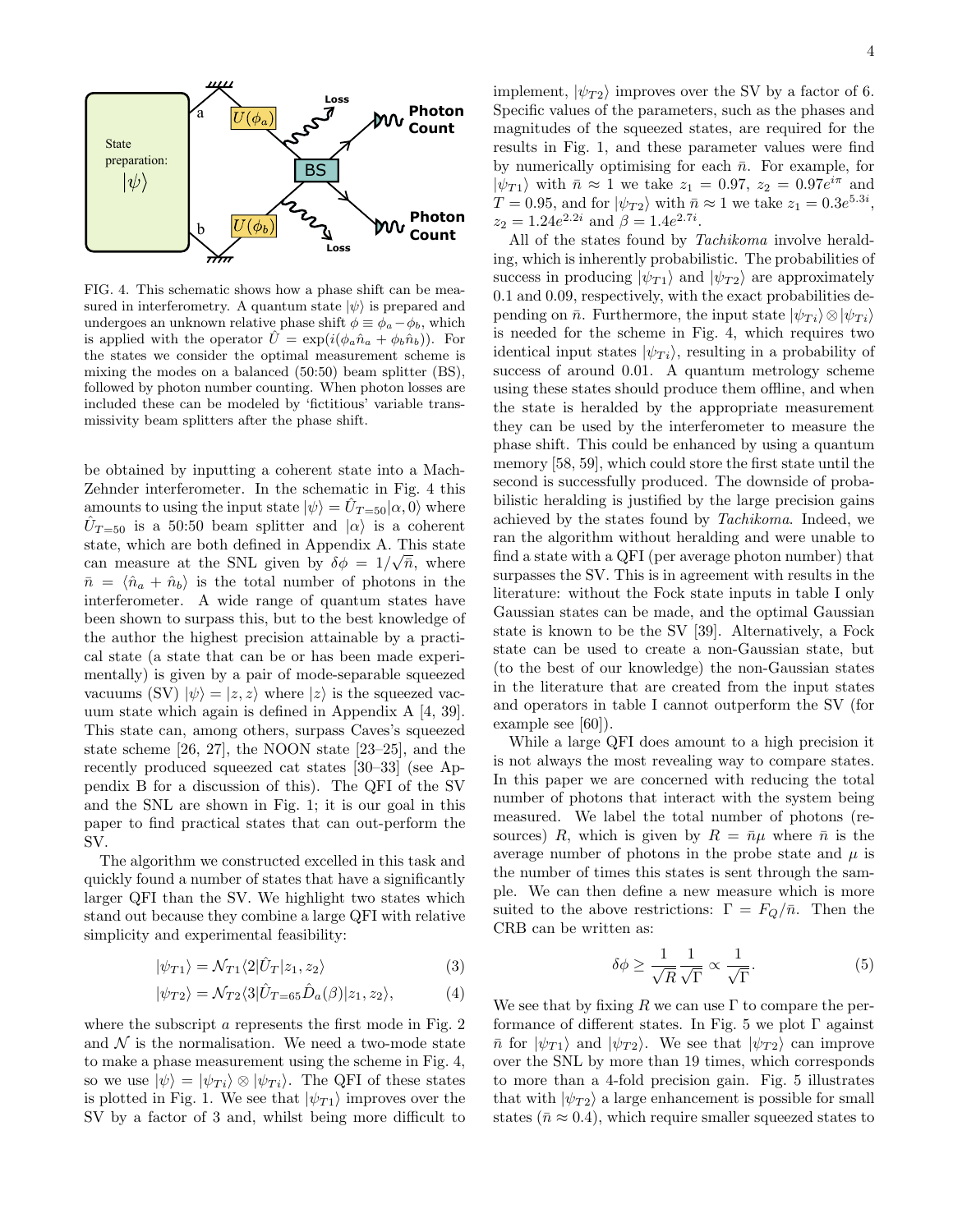

FIG. 4. This schematic shows how a phase shift can be measured in interferometry. A quantum state  $|\psi\rangle$  is prepared and undergoes an unknown relative phase shift  $\phi \equiv \phi_a - \phi_b$ , which is applied with the operator  $\ddot{U} = \exp(i(\phi_a \hat{n}_a + \phi_b \hat{n}_b))$ . For the states we consider the optimal measurement scheme is mixing the modes on a balanced (50:50) beam splitter (BS), followed by photon number counting. When photon losses are included these can be modeled by 'fictitious' variable transmissivity beam splitters after the phase shift.

be obtained by inputting a coherent state into a Mach-Zehnder interferometer. In the schematic in Fig. 4 this amounts to using the input state  $|\psi\rangle = \hat{U}_{T=50} |\alpha, 0\rangle$  where  $\hat{U}_{T=50}$  is a 50:50 beam splitter and  $|\alpha\rangle$  is a coherent state, which are both defined in Appendix A. This state can measure at the SNL given by  $\delta\phi = 1/\sqrt{\bar{n}}$ , where  $\bar{n} = \langle \hat{n}_a + \hat{n}_b \rangle$  is the total number of photons in the interferometer. A wide range of quantum states have been shown to surpass this, but to the best knowledge of the author the highest precision attainable by a practical state (a state that can be or has been made experimentally) is given by a pair of mode-separable squeezed vacuums (SV)  $|\psi\rangle = |z, z\rangle$  where  $|z\rangle$  is the squeezed vacuum state which again is defined in Appendix A [4, 39]. This state can, among others, surpass Caves's squeezed state scheme [26, 27], the NOON state [23–25], and the recently produced squeezed cat states [30–33] (see Appendix B for a discussion of this). The QFI of the SV and the SNL are shown in Fig. 1; it is our goal in this paper to find practical states that can out-perform the SV.

The algorithm we constructed excelled in this task and quickly found a number of states that have a significantly larger QFI than the SV. We highlight two states which stand out because they combine a large QFI with relative simplicity and experimental feasibility:

$$
|\psi_{T1}\rangle = \mathcal{N}_{T1}\langle 2|\hat{U}_T|z_1, z_2\rangle \tag{3}
$$

$$
|\psi_{T2}\rangle = \mathcal{N}_{T2}\langle 3|\hat{U}_{T=65}\hat{D}_a(\beta)|z_1, z_2\rangle, \tag{4}
$$

where the subscript a represents the first mode in Fig. 2 and  $N$  is the normalisation. We need a two-mode state to make a phase measurement using the scheme in Fig. 4, so we use  $|\psi\rangle = |\psi_{Ti}\rangle \otimes |\psi_{Ti}\rangle$ . The QFI of these states is plotted in Fig. 1. We see that  $|\psi_{T1}\rangle$  improves over the SV by a factor of 3 and, whilst being more difficult to

implement,  $|\psi_{T2}\rangle$  improves over the SV by a factor of 6. Specific values of the parameters, such as the phases and magnitudes of the squeezed states, are required for the results in Fig. 1, and these parameter values were find by numerically optimising for each  $\bar{n}$ . For example, for  $|\psi_{T1}\rangle$  with  $\bar{n} \approx 1$  we take  $z_1 = 0.97$ ,  $z_2 = 0.97e^{i\pi}$  and  $T = 0.95$ , and for  $|\psi_{T2}\rangle$  with  $\bar{n} \approx 1$  we take  $z_1 = 0.3e^{5.3i}$ ,  $z_2 = 1.24e^{2.2i}$  and  $\beta = 1.4e^{2.7i}$ .

All of the states found by Tachikoma involve heralding, which is inherently probabilistic. The probabilities of success in producing  $|\psi_{T1}\rangle$  and  $|\psi_{T2}\rangle$  are approximately 0.1 and 0.09, respectively, with the exact probabilities depending on  $\bar{n}$ . Furthermore, the input state  $|\psi_{Ti}\rangle \otimes |\psi_{Ti}\rangle$ is needed for the scheme in Fig. 4, which requires two identical input states  $|\psi_{Ti}\rangle$ , resulting in a probability of success of around 0.01. A quantum metrology scheme using these states should produce them offline, and when the state is heralded by the appropriate measurement they can be used by the interferometer to measure the phase shift. This could be enhanced by using a quantum memory [58, 59], which could store the first state until the second is successfully produced. The downside of probabilistic heralding is justified by the large precision gains achieved by the states found by Tachikoma. Indeed, we ran the algorithm without heralding and were unable to find a state with a QFI (per average photon number) that surpasses the SV. This is in agreement with results in the literature: without the Fock state inputs in table I only Gaussian states can be made, and the optimal Gaussian state is known to be the SV [39]. Alternatively, a Fock state can be used to create a non-Gaussian state, but (to the best of our knowledge) the non-Gaussian states in the literature that are created from the input states and operators in table I cannot outperform the SV (for example see [60]).

While a large QFI does amount to a high precision it is not always the most revealing way to compare states. In this paper we are concerned with reducing the total number of photons that interact with the system being measured. We label the total number of photons (resources) R, which is given by  $R = \bar{n}\mu$  where  $\bar{n}$  is the average number of photons in the probe state and  $\mu$  is the number of times this states is sent through the sample. We can then define a new measure which is more suited to the above restrictions:  $\Gamma = F_Q/\bar{n}$ . Then the CRB can be written as:

$$
\delta\phi \ge \frac{1}{\sqrt{R}} \frac{1}{\sqrt{\Gamma}} \propto \frac{1}{\sqrt{\Gamma}}.\tag{5}
$$

We see that by fixing R we can use  $\Gamma$  to compare the performance of different states. In Fig. 5 we plot  $\Gamma$  against  $\bar{n}$  for  $|\psi_{T1}\rangle$  and  $|\psi_{T2}\rangle$ . We see that  $|\psi_{T2}\rangle$  can improve over the SNL by more than 19 times, which corresponds to more than a 4-fold precision gain. Fig. 5 illustrates that with  $|\psi_{T2}\rangle$  a large enhancement is possible for small states ( $\bar{n} \approx 0.4$ ), which require smaller squeezed states to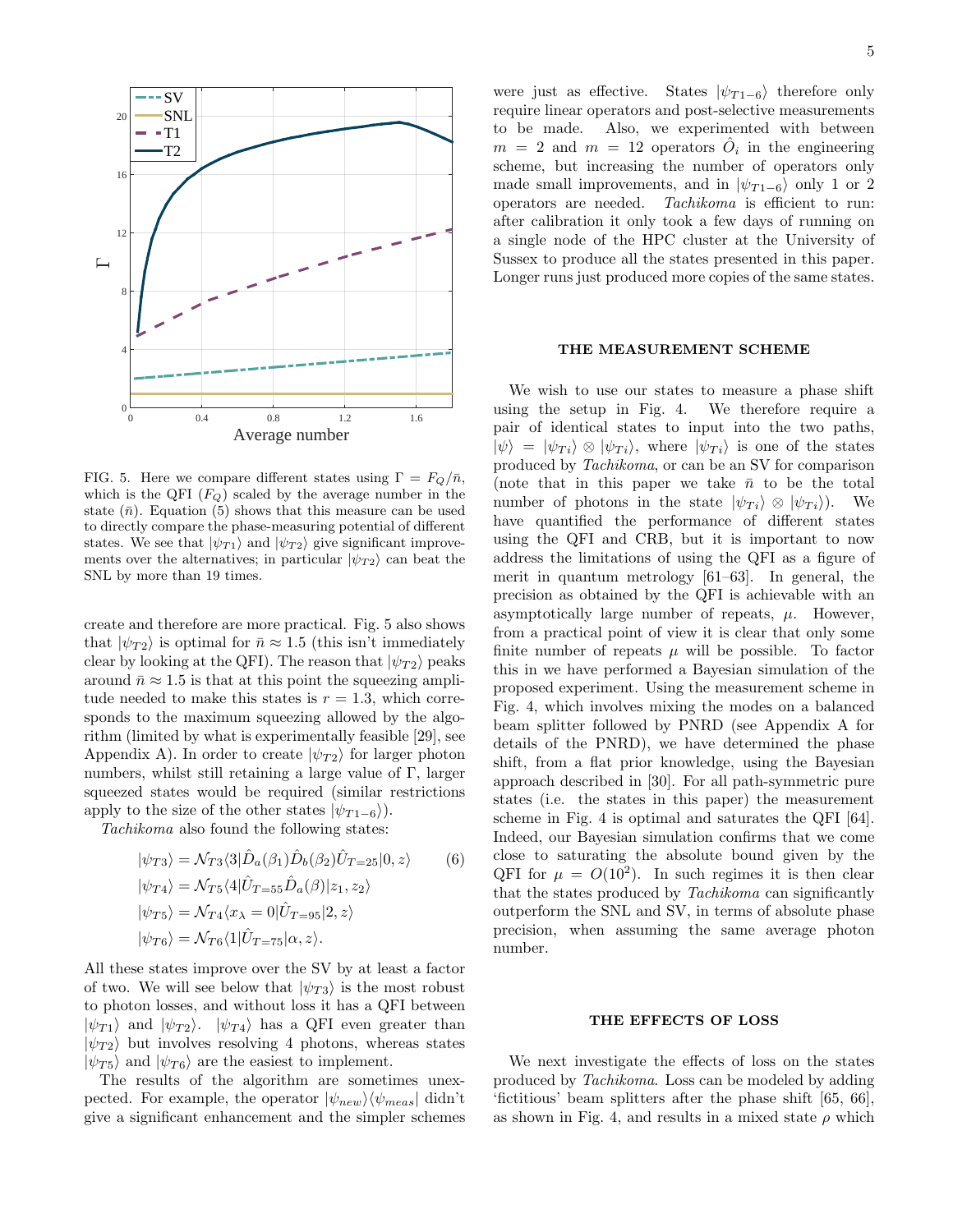

FIG. 5. Here we compare different states using  $\Gamma = F_Q/\bar{n}$ , which is the QFI  $(F_Q)$  scaled by the average number in the state  $(\bar{n})$ . Equation (5) shows that this measure can be used to directly compare the phase-measuring potential of different states. We see that  $|\psi_{T1}\rangle$  and  $|\psi_{T2}\rangle$  give significant improvements over the alternatives; in particular  $|\psi_{T2}\rangle$  can beat the SNL by more than 19 times.

create and therefore are more practical. Fig. 5 also shows that  $|\psi_{T2}\rangle$  is optimal for  $\bar{n} \approx 1.5$  (this isn't immediately clear by looking at the QFI). The reason that  $|\psi_{T2}\rangle$  peaks around  $\bar{n} \approx 1.5$  is that at this point the squeezing amplitude needed to make this states is  $r = 1.3$ , which corresponds to the maximum squeezing allowed by the algorithm (limited by what is experimentally feasible [29], see Appendix A). In order to create  $|\psi_{T2}\rangle$  for larger photon numbers, whilst still retaining a large value of Γ, larger squeezed states would be required (similar restrictions apply to the size of the other states  $|\psi_{T_1-6}\rangle$ .

Tachikoma also found the following states:

$$
|\psi_{T3}\rangle = \mathcal{N}_{T3}\langle 3|\hat{D}_a(\beta_1)\hat{D}_b(\beta_2)\hat{U}_{T=25}|0, z\rangle
$$
 (6)  
\n
$$
|\psi_{T4}\rangle = \mathcal{N}_{T5}\langle 4|\hat{U}_{T=55}\hat{D}_a(\beta)|z_1, z_2\rangle
$$
  
\n
$$
|\psi_{T5}\rangle = \mathcal{N}_{T4}\langle x_\lambda = 0|\hat{U}_{T=95}|2, z\rangle
$$
  
\n
$$
|\psi_{T6}\rangle = \mathcal{N}_{T6}\langle 1|\hat{U}_{T=75}|\alpha, z\rangle.
$$

All these states improve over the SV by at least a factor of two. We will see below that  $|\psi_{T3}\rangle$  is the most robust to photon losses, and without loss it has a QFI between  $|\psi_{T1}\rangle$  and  $|\psi_{T2}\rangle$ .  $|\psi_{T4}\rangle$  has a QFI even greater than  $|\psi_{T2}\rangle$  but involves resolving 4 photons, whereas states  $|\psi_{T5}\rangle$  and  $|\psi_{T6}\rangle$  are the easiest to implement.

The results of the algorithm are sometimes unexpected. For example, the operator  $|\psi_{new}\rangle \langle \psi_{meas}|$  didn't give a significant enhancement and the simpler schemes

were just as effective. States  $|\psi_{T1-6}\rangle$  therefore only require linear operators and post-selective measurements to be made. Also, we experimented with between  $m = 2$  and  $m = 12$  operators  $\hat{O}_i$  in the engineering scheme, but increasing the number of operators only made small improvements, and in  $|\psi_{T1-6}\rangle$  only 1 or 2 operators are needed. Tachikoma is efficient to run: after calibration it only took a few days of running on a single node of the HPC cluster at the University of Sussex to produce all the states presented in this paper. Longer runs just produced more copies of the same states.

### THE MEASUREMENT SCHEME

We wish to use our states to measure a phase shift using the setup in Fig. 4. We therefore require a pair of identical states to input into the two paths,  $|\psi\rangle = |\psi_{Ti}\rangle \otimes |\psi_{Ti}\rangle$ , where  $|\psi_{Ti}\rangle$  is one of the states produced by Tachikoma, or can be an SV for comparison (note that in this paper we take  $\bar{n}$  to be the total number of photons in the state  $|\psi_{Ti}\rangle \otimes |\psi_{Ti}\rangle$ . We have quantified the performance of different states using the QFI and CRB, but it is important to now address the limitations of using the QFI as a figure of merit in quantum metrology [61–63]. In general, the precision as obtained by the QFI is achievable with an asymptotically large number of repeats,  $\mu$ . However, from a practical point of view it is clear that only some finite number of repeats  $\mu$  will be possible. To factor this in we have performed a Bayesian simulation of the proposed experiment. Using the measurement scheme in Fig. 4, which involves mixing the modes on a balanced beam splitter followed by PNRD (see Appendix A for details of the PNRD), we have determined the phase shift, from a flat prior knowledge, using the Bayesian approach described in [30]. For all path-symmetric pure states (i.e. the states in this paper) the measurement scheme in Fig. 4 is optimal and saturates the QFI [64]. Indeed, our Bayesian simulation confirms that we come close to saturating the absolute bound given by the QFI for  $\mu = O(10^2)$ . In such regimes it is then clear that the states produced by Tachikoma can significantly outperform the SNL and SV, in terms of absolute phase precision, when assuming the same average photon number.

## THE EFFECTS OF LOSS

We next investigate the effects of loss on the states produced by Tachikoma. Loss can be modeled by adding 'fictitious' beam splitters after the phase shift [65, 66], as shown in Fig. 4, and results in a mixed state  $\rho$  which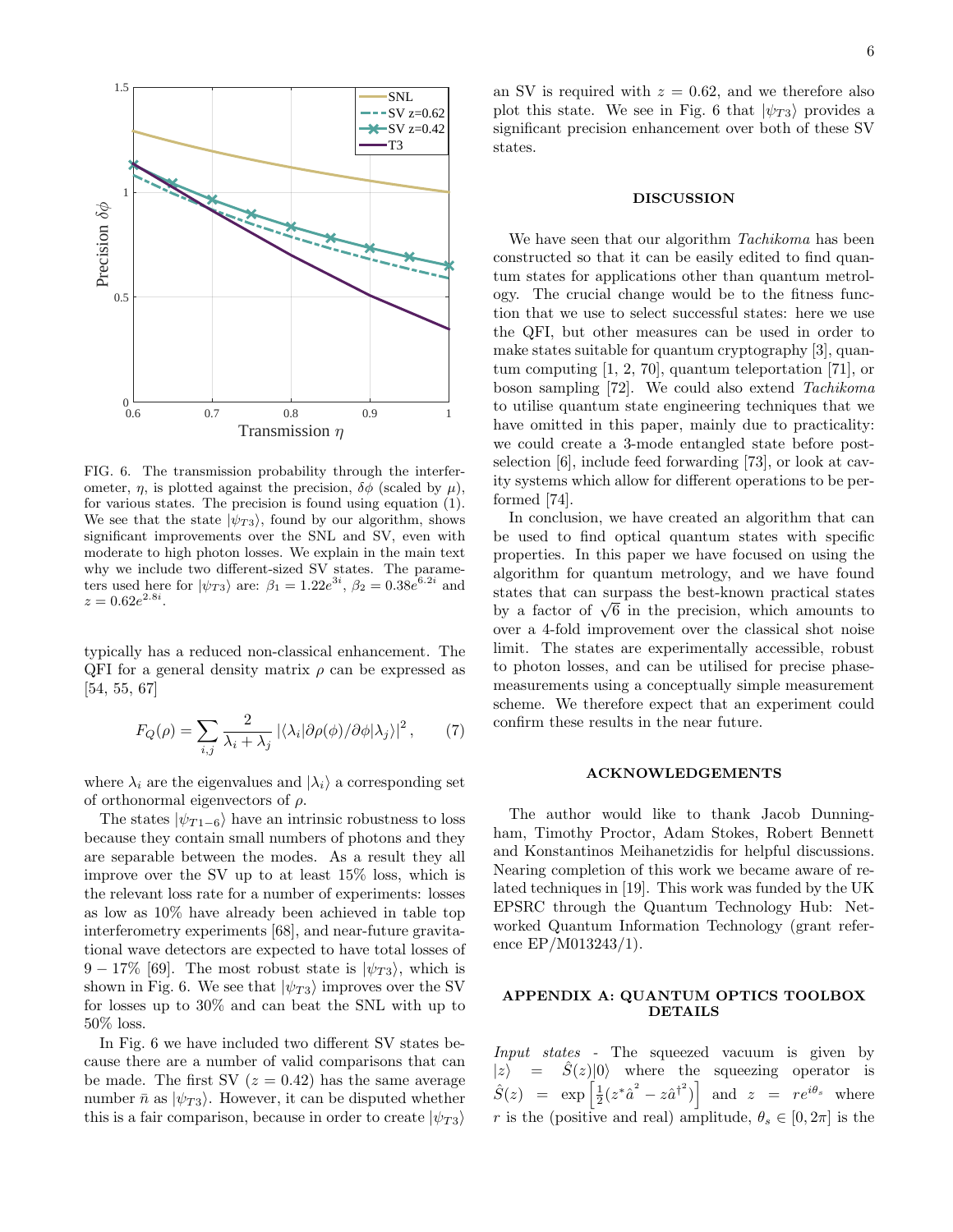

FIG. 6. The transmission probability through the interferometer,  $\eta$ , is plotted against the precision,  $\delta\phi$  (scaled by  $\mu$ ), for various states. The precision is found using equation (1). We see that the state  $|\psi_{T3}\rangle$ , found by our algorithm, shows significant improvements over the SNL and SV, even with moderate to high photon losses. We explain in the main text why we include two different-sized SV states. The parameters used here for  $|\psi_{T3}\rangle$  are:  $\beta_1 = 1.22e^{3i}, \beta_2 = 0.38e^{6.2i}$  and  $z = 0.62e^{2.8i}$ .

typically has a reduced non-classical enhancement. The QFI for a general density matrix  $\rho$  can be expressed as [54, 55, 67]

$$
F_Q(\rho) = \sum_{i,j} \frac{2}{\lambda_i + \lambda_j} \left| \langle \lambda_i | \partial \rho(\phi) / \partial \phi | \lambda_j \rangle \right|^2, \tag{7}
$$

where  $\lambda_i$  are the eigenvalues and  $|\lambda_i\rangle$  a corresponding set of orthonormal eigenvectors of  $\rho$ .

The states  $|\psi_{T_1-6}\rangle$  have an intrinsic robustness to loss because they contain small numbers of photons and they are separable between the modes. As a result they all improve over the SV up to at least 15% loss, which is the relevant loss rate for a number of experiments: losses as low as 10% have already been achieved in table top interferometry experiments [68], and near-future gravitational wave detectors are expected to have total losses of  $9 - 17\%$  [69]. The most robust state is  $|\psi_{T3}\rangle$ , which is shown in Fig. 6. We see that  $|\psi_{T3}\rangle$  improves over the SV for losses up to 30% and can beat the SNL with up to 50% loss.

In Fig. 6 we have included two different SV states because there are a number of valid comparisons that can be made. The first SV  $(z = 0.42)$  has the same average number  $\bar{n}$  as  $|\psi_{T3}\rangle$ . However, it can be disputed whether this is a fair comparison, because in order to create  $|\psi_{T3}\rangle$ 

an SV is required with  $z = 0.62$ , and we therefore also plot this state. We see in Fig. 6 that  $|\psi_{T3}\rangle$  provides a significant precision enhancement over both of these SV states.

### DISCUSSION

We have seen that our algorithm Tachikoma has been constructed so that it can be easily edited to find quantum states for applications other than quantum metrology. The crucial change would be to the fitness function that we use to select successful states: here we use the QFI, but other measures can be used in order to make states suitable for quantum cryptography [3], quantum computing [1, 2, 70], quantum teleportation [71], or boson sampling [72]. We could also extend Tachikoma to utilise quantum state engineering techniques that we have omitted in this paper, mainly due to practicality: we could create a 3-mode entangled state before postselection [6], include feed forwarding [73], or look at cavity systems which allow for different operations to be performed [74].

In conclusion, we have created an algorithm that can be used to find optical quantum states with specific properties. In this paper we have focused on using the algorithm for quantum metrology, and we have found states that can surpass the best-known practical states states that can surpass the best-known practical states<br>by a factor of  $\sqrt{6}$  in the precision, which amounts to over a 4-fold improvement over the classical shot noise limit. The states are experimentally accessible, robust to photon losses, and can be utilised for precise phasemeasurements using a conceptually simple measurement scheme. We therefore expect that an experiment could confirm these results in the near future.

#### ACKNOWLEDGEMENTS

The author would like to thank Jacob Dunningham, Timothy Proctor, Adam Stokes, Robert Bennett and Konstantinos Meihanetzidis for helpful discussions. Nearing completion of this work we became aware of related techniques in [19]. This work was funded by the UK EPSRC through the Quantum Technology Hub: Networked Quantum Information Technology (grant reference EP/M013243/1).

## APPENDIX A: QUANTUM OPTICS TOOLBOX DETAILS

Input states - The squeezed vacuum is given by  $|z\rangle$  =  $\ddot{S}(z)|0\rangle$  where the squeezing operator is  $\hat{S}(z) = \exp\left[\frac{1}{2}(z^*\hat{a}^2 - z\hat{a}^{\dagger 2})\right]$  and  $z = re^{i\theta_s}$  where r is the (positive and real) amplitude,  $\theta_s \in [0, 2\pi]$  is the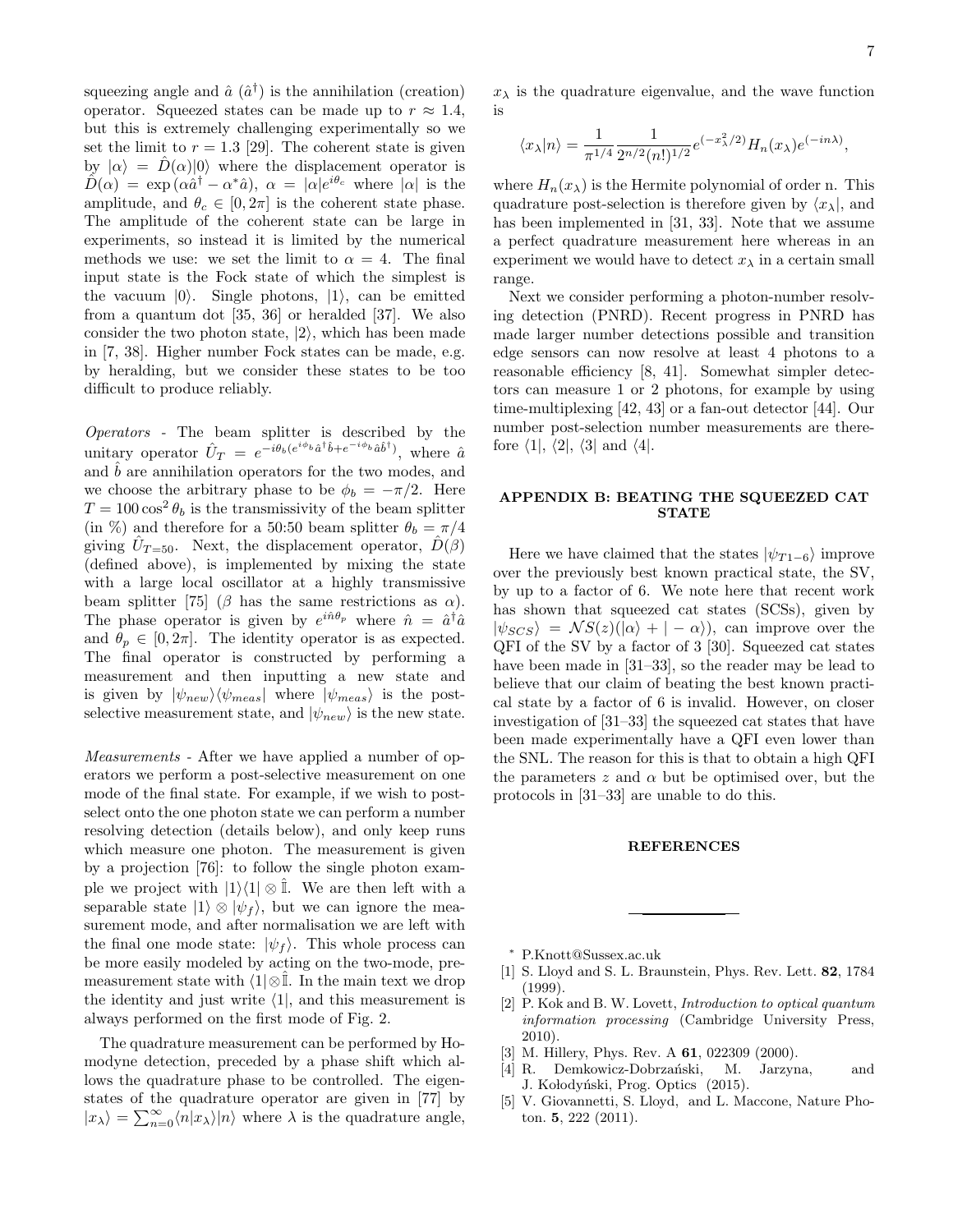squeezing angle and  $\hat{a}$   $(\hat{a}^{\dagger})$  is the annihilation (creation) operator. Squeezed states can be made up to  $r \approx 1.4$ , but this is extremely challenging experimentally so we set the limit to  $r = 1.3$  [29]. The coherent state is given by  $|\alpha\rangle = \hat{D}(\alpha)|0\rangle$  where the displacement operator is  $\hat{D}(\alpha) = \exp{(\alpha \hat{a}^\dagger - \alpha^* \hat{a})}, \ \alpha = |\alpha|e^{i\theta_c}$  where  $|\alpha|$  is the amplitude, and  $\theta_c \in [0, 2\pi]$  is the coherent state phase. The amplitude of the coherent state can be large in experiments, so instead it is limited by the numerical methods we use: we set the limit to  $\alpha = 4$ . The final input state is the Fock state of which the simplest is the vacuum  $|0\rangle$ . Single photons,  $|1\rangle$ , can be emitted from a quantum dot [35, 36] or heralded [37]. We also consider the two photon state,  $|2\rangle$ , which has been made in [7, 38]. Higher number Fock states can be made, e.g. by heralding, but we consider these states to be too difficult to produce reliably.

Operators - The beam splitter is described by the unitary operator  $\hat{U}_T = e^{-i\theta_b(e^{i\phi_b}\hat{a}^\dagger\hat{b} + e^{-i\phi_b}\hat{a}\hat{b}^\dagger)},$  where  $\hat{a}$ and  $\hat{b}$  are annihilation operators for the two modes, and we choose the arbitrary phase to be  $\phi_b = -\pi/2$ . Here  $T = 100 \cos^2 \theta_b$  is the transmissivity of the beam splitter (in %) and therefore for a 50:50 beam splitter  $\theta_b = \pi/4$ giving  $\hat{U}_{T=50}$ . Next, the displacement operator,  $\hat{D}(\beta)$ (defined above), is implemented by mixing the state with a large local oscillator at a highly transmissive beam splitter [75] ( $\beta$  has the same restrictions as  $\alpha$ ). The phase operator is given by  $e^{i\hat{n}\theta_p}$  where  $\hat{n} = \hat{a}^\dagger \hat{a}$ and  $\theta_p \in [0, 2\pi]$ . The identity operator is as expected. The final operator is constructed by performing a measurement and then inputting a new state and is given by  $|\psi_{new}\rangle\langle\psi_{meas}|$  where  $|\psi_{meas}\rangle$  is the postselective measurement state, and  $|\psi_{new}\rangle$  is the new state.

Measurements - After we have applied a number of operators we perform a post-selective measurement on one mode of the final state. For example, if we wish to postselect onto the one photon state we can perform a number resolving detection (details below), and only keep runs which measure one photon. The measurement is given by a projection [76]: to follow the single photon example we project with  $|1\rangle\langle 1| \otimes \hat{\mathbb{I}}$ . We are then left with a separable state  $|1\rangle \otimes |\psi_f\rangle$ , but we can ignore the measurement mode, and after normalisation we are left with the final one mode state:  $|\psi_f\rangle$ . This whole process can be more easily modeled by acting on the two-mode, premeasurement state with  $\langle 1|\otimes\mathbb{I}$ . In the main text we drop the identity and just write  $\langle 1|$ , and this measurement is always performed on the first mode of Fig. 2.

The quadrature measurement can be performed by Homodyne detection, preceded by a phase shift which allows the quadrature phase to be controlled. The eigenstates of the quadrature operator are given in [77] by  $|x_{\lambda}\rangle = \sum_{n=0}^{\infty} \langle n|x_{\lambda}\rangle |n\rangle$  where  $\lambda$  is the quadrature angle,

 $x_{\lambda}$  is the quadrature eigenvalue, and the wave function is

$$
\langle x_{\lambda} | n \rangle = \frac{1}{\pi^{1/4}} \frac{1}{2^{n/2} (n!)^{1/2}} e^{(-x_{\lambda}^2/2)} H_n(x_{\lambda}) e^{(-in\lambda)},
$$

where  $H_n(x_\lambda)$  is the Hermite polynomial of order n. This quadrature post-selection is therefore given by  $\langle x_{\lambda} |$ , and has been implemented in [31, 33]. Note that we assume a perfect quadrature measurement here whereas in an experiment we would have to detect  $x_{\lambda}$  in a certain small range.

Next we consider performing a photon-number resolving detection (PNRD). Recent progress in PNRD has made larger number detections possible and transition edge sensors can now resolve at least 4 photons to a reasonable efficiency [8, 41]. Somewhat simpler detectors can measure 1 or 2 photons, for example by using time-multiplexing [42, 43] or a fan-out detector [44]. Our number post-selection number measurements are therefore  $\langle 1|, \langle 2|, \langle 3|$  and  $\langle 4|$ .

## APPENDIX B: BEATING THE SQUEEZED CAT **STATE**

Here we have claimed that the states  $|\psi_{T_1-6}\rangle$  improve over the previously best known practical state, the SV, by up to a factor of 6. We note here that recent work has shown that squeezed cat states (SCSs), given by  $|\psi_{SCS}\rangle = \mathcal{N}S(z)(|\alpha\rangle + | -\alpha\rangle),$  can improve over the QFI of the SV by a factor of 3 [30]. Squeezed cat states have been made in [31–33], so the reader may be lead to believe that our claim of beating the best known practical state by a factor of 6 is invalid. However, on closer investigation of [31–33] the squeezed cat states that have been made experimentally have a QFI even lower than the SNL. The reason for this is that to obtain a high QFI the parameters z and  $\alpha$  but be optimised over, but the protocols in [31–33] are unable to do this.

## **REFERENCES**

- <sup>∗</sup> P.Knott@Sussex.ac.uk
- [1] S. Lloyd and S. L. Braunstein, Phys. Rev. Lett. 82, 1784 (1999).
- [2] P. Kok and B. W. Lovett, Introduction to optical quantum information processing (Cambridge University Press, 2010).
- [3] M. Hillery, Phys. Rev. A **61**, 022309 (2000).
- [4] R. Demkowicz-Dobrzański, M. Jarzyna, and J. Kołodyński, Prog. Optics (2015).
- [5] V. Giovannetti, S. Lloyd, and L. Maccone, Nature Photon. 5, 222 (2011).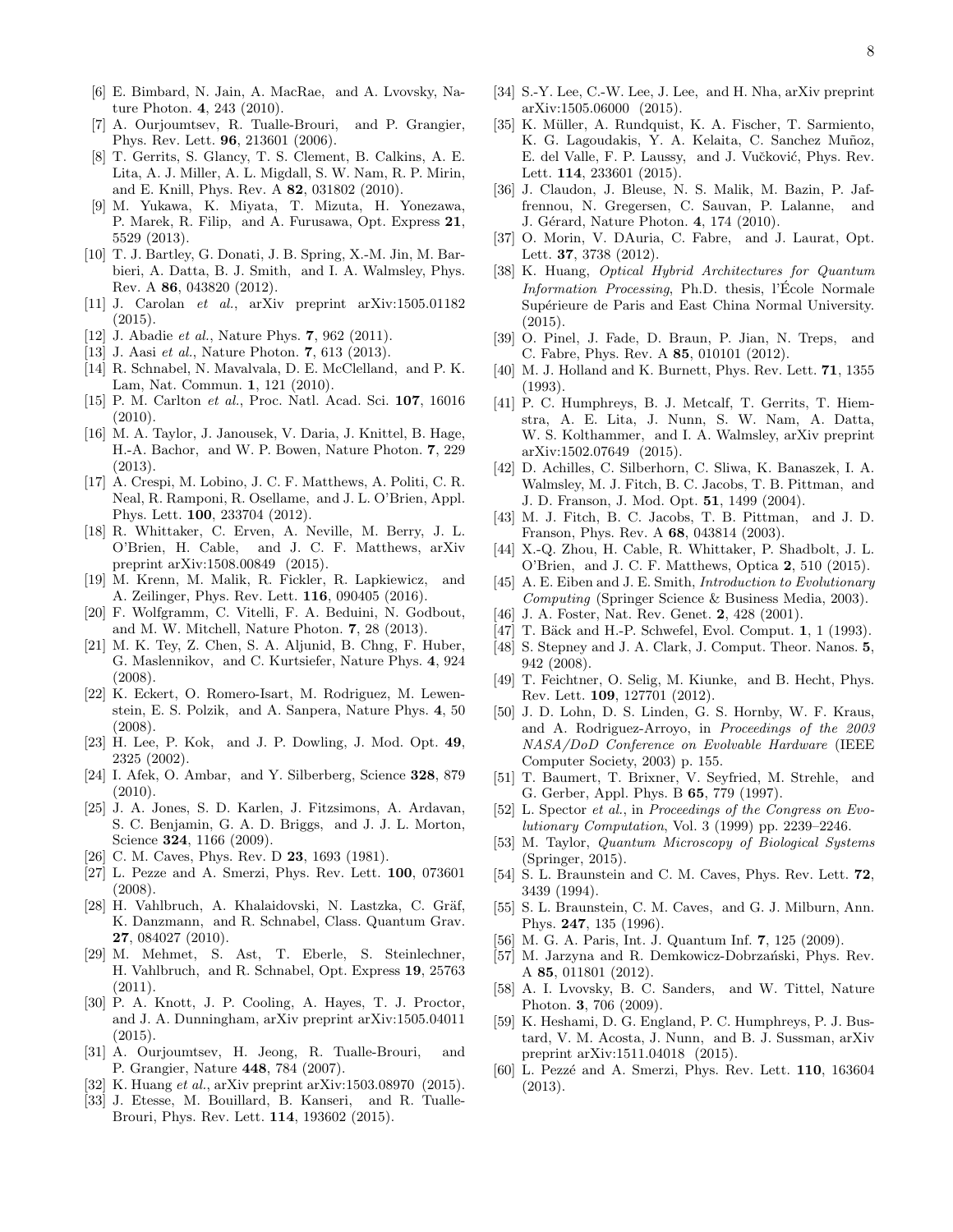- [6] E. Bimbard, N. Jain, A. MacRae, and A. Lvovsky, Nature Photon. 4, 243 (2010).
- [7] A. Ourjoumtsev, R. Tualle-Brouri, and P. Grangier, Phys. Rev. Lett. 96, 213601 (2006).
- [8] T. Gerrits, S. Glancy, T. S. Clement, B. Calkins, A. E. Lita, A. J. Miller, A. L. Migdall, S. W. Nam, R. P. Mirin, and E. Knill, Phys. Rev. A 82, 031802 (2010).
- [9] M. Yukawa, K. Miyata, T. Mizuta, H. Yonezawa, P. Marek, R. Filip, and A. Furusawa, Opt. Express 21, 5529 (2013).
- [10] T. J. Bartley, G. Donati, J. B. Spring, X.-M. Jin, M. Barbieri, A. Datta, B. J. Smith, and I. A. Walmsley, Phys. Rev. A 86, 043820 (2012).
- [11] J. Carolan et al., arXiv preprint arXiv:1505.01182 (2015).
- [12] J. Abadie *et al.*, Nature Phys. **7**, 962 (2011).
- [13] J. Aasi et al., Nature Photon. 7, 613 (2013).
- [14] R. Schnabel, N. Mavalvala, D. E. McClelland, and P. K. Lam, Nat. Commun. 1, 121 (2010).
- [15] P. M. Carlton et al., Proc. Natl. Acad. Sci. 107, 16016 (2010).
- [16] M. A. Taylor, J. Janousek, V. Daria, J. Knittel, B. Hage, H.-A. Bachor, and W. P. Bowen, Nature Photon. 7, 229 (2013).
- [17] A. Crespi, M. Lobino, J. C. F. Matthews, A. Politi, C. R. Neal, R. Ramponi, R. Osellame, and J. L. O'Brien, Appl. Phys. Lett. 100, 233704 (2012).
- [18] R. Whittaker, C. Erven, A. Neville, M. Berry, J. L. O'Brien, H. Cable, and J. C. F. Matthews, arXiv preprint arXiv:1508.00849 (2015).
- [19] M. Krenn, M. Malik, R. Fickler, R. Lapkiewicz, and A. Zeilinger, Phys. Rev. Lett. 116, 090405 (2016).
- [20] F. Wolfgramm, C. Vitelli, F. A. Beduini, N. Godbout, and M. W. Mitchell, Nature Photon. 7, 28 (2013).
- [21] M. K. Tey, Z. Chen, S. A. Aljunid, B. Chng, F. Huber, G. Maslennikov, and C. Kurtsiefer, Nature Phys. 4, 924 (2008).
- [22] K. Eckert, O. Romero-Isart, M. Rodriguez, M. Lewenstein, E. S. Polzik, and A. Sanpera, Nature Phys. 4, 50 (2008).
- [23] H. Lee, P. Kok, and J. P. Dowling, J. Mod. Opt. 49, 2325 (2002).
- [24] I. Afek, O. Ambar, and Y. Silberberg, Science 328, 879 (2010).
- [25] J. A. Jones, S. D. Karlen, J. Fitzsimons, A. Ardavan, S. C. Benjamin, G. A. D. Briggs, and J. J. L. Morton, Science **324**, 1166 (2009).
- [26] C. M. Caves, Phys. Rev. D **23**, 1693 (1981).
- [27] L. Pezze and A. Smerzi, Phys. Rev. Lett. 100, 073601 (2008).
- [28] H. Vahlbruch, A. Khalaidovski, N. Lastzka, C. Gräf, K. Danzmann, and R. Schnabel, Class. Quantum Grav. 27, 084027 (2010).
- [29] M. Mehmet, S. Ast, T. Eberle, S. Steinlechner, H. Vahlbruch, and R. Schnabel, Opt. Express 19, 25763  $(2011).$
- [30] P. A. Knott, J. P. Cooling, A. Hayes, T. J. Proctor, and J. A. Dunningham, arXiv preprint arXiv:1505.04011 (2015).
- [31] A. Ourjoumtsev, H. Jeong, R. Tualle-Brouri, and P. Grangier, Nature 448, 784 (2007).
- [32] K. Huang et al., arXiv preprint arXiv:1503.08970 (2015).
- [33] J. Etesse, M. Bouillard, B. Kanseri, and R. Tualle-Brouri, Phys. Rev. Lett. 114, 193602 (2015).
- [34] S.-Y. Lee, C.-W. Lee, J. Lee, and H. Nha, arXiv preprint arXiv:1505.06000 (2015).
- [35] K. Müller, A. Rundquist, K. A. Fischer, T. Sarmiento, K. G. Lagoudakis, Y. A. Kelaita, C. Sanchez Muñoz, E. del Valle, F. P. Laussy, and J. Vučković, Phys. Rev. Lett. 114, 233601 (2015).
- [36] J. Claudon, J. Bleuse, N. S. Malik, M. Bazin, P. Jaffrennou, N. Gregersen, C. Sauvan, P. Lalanne, and J. Gérard, Nature Photon. 4, 174 (2010).
- [37] O. Morin, V. DAuria, C. Fabre, and J. Laurat, Opt. Lett. 37, 3738 (2012).
- [38] K. Huang, Optical Hybrid Architectures for Quantum Information Processing, Ph.D. thesis, l'École Normale Supérieure de Paris and East China Normal University. (2015).
- [39] O. Pinel, J. Fade, D. Braun, P. Jian, N. Treps, and C. Fabre, Phys. Rev. A 85, 010101 (2012).
- [40] M. J. Holland and K. Burnett, Phys. Rev. Lett. **71**, 1355 (1993).
- [41] P. C. Humphreys, B. J. Metcalf, T. Gerrits, T. Hiemstra, A. E. Lita, J. Nunn, S. W. Nam, A. Datta, W. S. Kolthammer, and I. A. Walmsley, arXiv preprint arXiv:1502.07649 (2015).
- [42] D. Achilles, C. Silberhorn, C. Sliwa, K. Banaszek, I. A. Walmsley, M. J. Fitch, B. C. Jacobs, T. B. Pittman, and J. D. Franson, J. Mod. Opt. 51, 1499 (2004).
- [43] M. J. Fitch, B. C. Jacobs, T. B. Pittman, and J. D. Franson, Phys. Rev. A 68, 043814 (2003).
- [44] X.-Q. Zhou, H. Cable, R. Whittaker, P. Shadbolt, J. L. O'Brien, and J. C. F. Matthews, Optica 2, 510 (2015).
- [45] A. E. Eiben and J. E. Smith, *Introduction to Evolutionary* Computing (Springer Science & Business Media, 2003).
- [46] J. A. Foster, Nat. Rev. Genet. 2, 428 (2001).
- [47] T. Bäck and H.-P. Schwefel, Evol. Comput. 1, 1 (1993).
- [48] S. Stepney and J. A. Clark, J. Comput. Theor. Nanos. **5**, 942 (2008).
- [49] T. Feichtner, O. Selig, M. Kiunke, and B. Hecht, Phys. Rev. Lett. 109, 127701 (2012).
- [50] J. D. Lohn, D. S. Linden, G. S. Hornby, W. F. Kraus, and A. Rodriguez-Arroyo, in Proceedings of the 2003 NASA/DoD Conference on Evolvable Hardware (IEEE Computer Society, 2003) p. 155.
- [51] T. Baumert, T. Brixner, V. Seyfried, M. Strehle, and G. Gerber, Appl. Phys. B 65, 779 (1997).
- [52] L. Spector et al., in Proceedings of the Congress on Evolutionary Computation, Vol. 3 (1999) pp. 2239–2246.
- [53] M. Taylor, Quantum Microscopy of Biological Systems (Springer, 2015).
- [54] S. L. Braunstein and C. M. Caves, Phys. Rev. Lett. **72**, 3439 (1994).
- [55] S. L. Braunstein, C. M. Caves, and G. J. Milburn, Ann. Phys. 247, 135 (1996).
- [56] M. G. A. Paris, Int. J. Quantum Inf. 7, 125 (2009).
- [57] M. Jarzyna and R. Demkowicz-Dobrzański, Phys. Rev. A 85, 011801 (2012).
- [58] A. I. Lvovsky, B. C. Sanders, and W. Tittel, Nature Photon. 3, 706 (2009).
- [59] K. Heshami, D. G. England, P. C. Humphreys, P. J. Bustard, V. M. Acosta, J. Nunn, and B. J. Sussman, arXiv preprint arXiv:1511.04018 (2015).
- [60] L. Pezzé and A. Smerzi, Phys. Rev. Lett. 110, 163604 (2013).